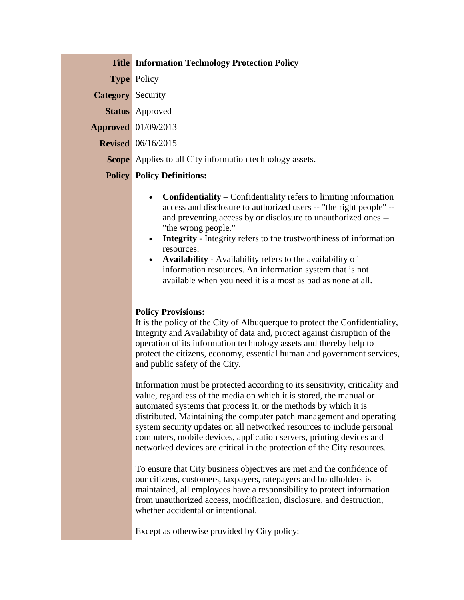|                          | <b>Title Information Technology Protection Policy</b>           |
|--------------------------|-----------------------------------------------------------------|
|                          | <b>Type Policy</b>                                              |
| <b>Category</b> Security |                                                                 |
|                          | <b>Status</b> Approved                                          |
|                          | <b>Approved</b> 01/09/2013                                      |
|                          | <b>Revised</b> 06/16/2015                                       |
|                          | <b>Scope</b> Applies to all City information technology assets. |

## **Policy Policy Definitions:**

- **Confidentiality** Confidentiality refers to limiting information access and disclosure to authorized users -- "the right people" - and preventing access by or disclosure to unauthorized ones -- "the wrong people."
- **Integrity** Integrity refers to the trustworthiness of information resources.
- **Availability**  Availability refers to the availability of information resources. An information system that is not available when you need it is almost as bad as none at all.

## **Policy Provisions:**

It is the policy of the City of Albuquerque to protect the Confidentiality, Integrity and Availability of data and, protect against disruption of the operation of its information technology assets and thereby help to protect the citizens, economy, essential human and government services, and public safety of the City.

Information must be protected according to its sensitivity, criticality and value, regardless of the media on which it is stored, the manual or automated systems that process it, or the methods by which it is distributed. Maintaining the computer patch management and operating system security updates on all networked resources to include personal computers, mobile devices, application servers, printing devices and networked devices are critical in the protection of the City resources.

To ensure that City business objectives are met and the confidence of our citizens, customers, taxpayers, ratepayers and bondholders is maintained, all employees have a responsibility to protect information from unauthorized access, modification, disclosure, and destruction, whether accidental or intentional.

Except as otherwise provided by City policy: